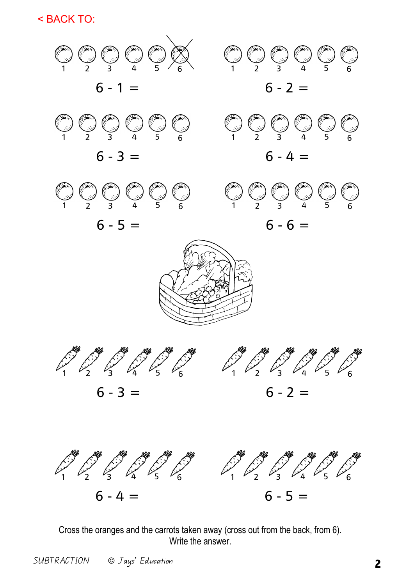< BACK TO:



Cross the oranges and the carrots taken away (cross out from the back, from 6). Write the answer.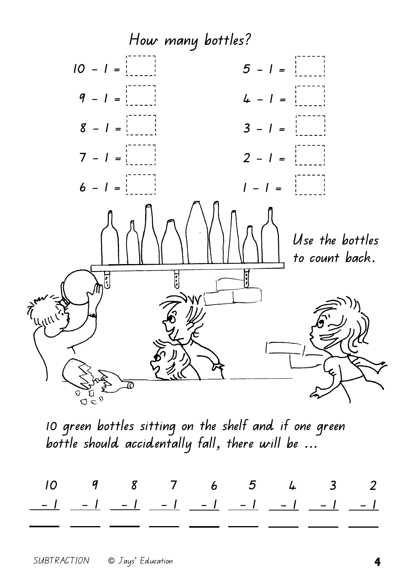

**10 green bottles sitting on the shelf and if one green bottle should accidentally fall, there will be ...** 

|  |  | $10$ 9 8 7 6 5 4 3 2 |  |  |
|--|--|----------------------|--|--|
|  |  |                      |  |  |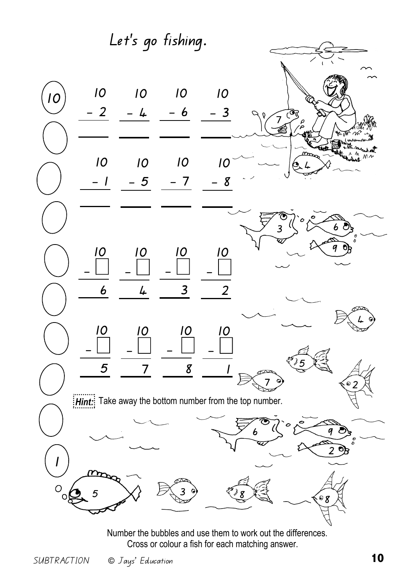**Let's go fishing. 10 10 10 10 10 - 2 - 3 - 4 - 6**  79 **10 10 10 10**   $\frac{1}{\sqrt{2}}$ **- 1 - 5 - 7 - 8**  6 3 9 **10 10 10 10 - - - - 6 3 2 4**  4 **10 10 10 10 - - - -**   $\frac{5}{3}$ **5 7 1 8**  $\frac{7}{2}$  $\overline{2}$ **Hint:** Take away the bottom number from the top number.  $6 \leqslant \frac{1}{2}$  $\overline{2}$ **1**   $\overline{O}$  $\frac{3}{3}$  8 5 8 6

Number the bubbles and use them to work out the differences. Cross or colour a fish for each matching answer.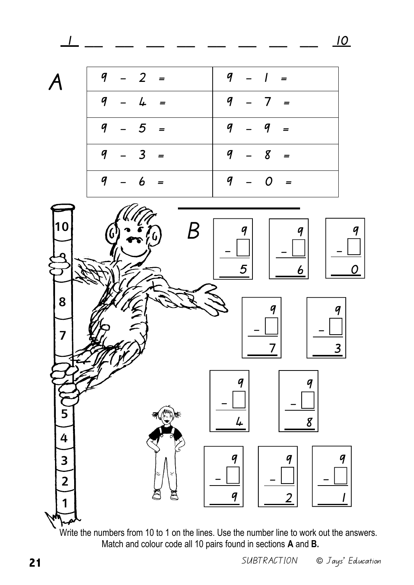\_\_ \_\_ \_\_ \_\_ \_\_ \_\_ \_\_ \_\_ **10**



| $9 - 2 =$           | $9 - 1 =$ |
|---------------------|-----------|
| $9 - 4$<br>$\equiv$ | $9 - 7 =$ |
| $9 - 5 =$           | $9 - 9 =$ |
| $-3 =$<br>9         | $9 - 8 =$ |
| $9 - 6 =$           | $9 - 0 =$ |



Write the numbers from 10 to 1 on the lines. Use the number line to work out the answers. Match and colour code all 10 pairs found in sections **A** and **B.**